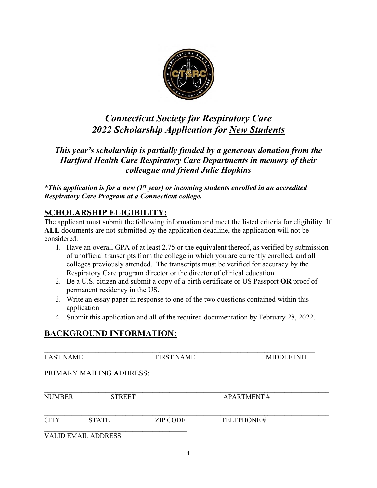

# *Connecticut Society for Respiratory Care 2022 Scholarship Application for New Students*

*This year's scholarship is partially funded by a generous donation from the Hartford Health Care Respiratory Care Departments in memory of their colleague and friend Julie Hopkins*

*\*This application is for a new (1st year) or incoming students enrolled in an accredited Respiratory Care Program at a Connecticut college.* 

# **SCHOLARSHIP ELIGIBILITY:**

The applicant must submit the following information and meet the listed criteria for eligibility. If **ALL** documents are not submitted by the application deadline, the application will not be considered.

- 1. Have an overall GPA of at least 2.75 or the equivalent thereof, as verified by submission of unofficial transcripts from the college in which you are currently enrolled, and all colleges previously attended. The transcripts must be verified for accuracy by the Respiratory Care program director or the director of clinical education.
- 2. Be a U.S. citizen and submit a copy of a birth certificate or US Passport **OR** proof of permanent residency in the US.
- 3. Write an essay paper in response to one of the two questions contained within this application
- 4. Submit this application and all of the required documentation by February 28, 2022.

# **BACKGROUND INFORMATION:**

| <b>LAST NAME</b>           |                          | <b>FIRST NAME</b> | MIDDLE INIT.      |
|----------------------------|--------------------------|-------------------|-------------------|
|                            | PRIMARY MAILING ADDRESS: |                   |                   |
| <b>NUMBER</b>              | <b>STREET</b>            |                   | <b>APARTMENT#</b> |
| <b>CITY</b>                | <b>STATE</b>             | <b>ZIP CODE</b>   | TELEPHONE#        |
| <b>VALID EMAIL ADDRESS</b> |                          |                   |                   |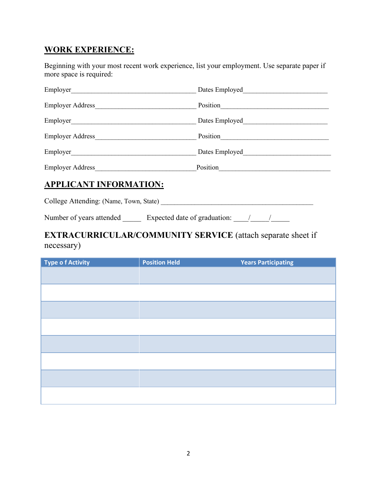# **WORK EXPERIENCE:**

Beginning with your most recent work experience, list your employment. Use separate paper if more space is required:

| Employer                | Dates Employed |
|-------------------------|----------------|
| <b>Employer Address</b> | Position       |
| Employer                | Dates Employed |
| <b>Employer Address</b> | Position       |
| Employer_               | Dates Employed |
| <b>Employer Address</b> | Position       |

#### **APPLICANT INFORMATION:**

College Attending: (Name, Town, State) \_\_\_\_\_\_\_\_\_\_\_\_\_\_\_\_\_\_\_\_\_\_\_\_\_\_\_\_\_\_\_\_\_\_\_\_\_\_\_\_\_\_\_\_\_

Number of years attended \_\_\_\_\_\_ Expected date of graduation: \_\_\_\_\_/ \_\_\_\_\_\_\_\_\_\_\_\_

# **EXTRACURRICULAR/COMMUNITY SERVICE** (attach separate sheet if necessary)

| <b>Type of Activity</b> | <b>Position Held</b> | <b>Years Participating</b> |
|-------------------------|----------------------|----------------------------|
|                         |                      |                            |
|                         |                      |                            |
|                         |                      |                            |
|                         |                      |                            |
|                         |                      |                            |
|                         |                      |                            |
|                         |                      |                            |
|                         |                      |                            |
|                         |                      |                            |